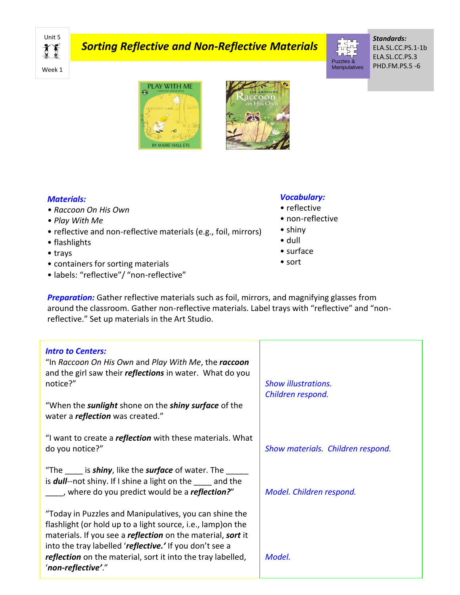Unit 5 てき Week 1

# *Sorting Reflective and Non-Reflective Materials*

Manipulatives

Puzzles &

*Standards:* ELA.SL.CC.PS.1-1b ELA.SL.CC.PS.3 PHD.FM.PS.5 -6





#### *Materials:*

- *Raccoon On His Own*
- *Play With Me*
- reflective and non-reflective materials (e.g., foil, mirrors)
- flashlights
- trays
- containers for sorting materials
- labels: "reflective"/ "non-reflective"

## *Vocabulary:*

- reflective
- non-reflective
- shiny
- dull
- surface
- sort

**Preparation:** Gather reflective materials such as foil, mirrors, and magnifying glasses from around the classroom. Gather non-reflective materials. Label trays with "reflective" and "nonreflective." Set up materials in the Art Studio.

| <b>Intro to Centers:</b><br>"In Raccoon On His Own and Play With Me, the raccoon<br>and the girl saw their <i>reflections</i> in water. What do you<br>notice?"                                                                                         | <b>Show illustrations.</b><br>Children respond. |
|---------------------------------------------------------------------------------------------------------------------------------------------------------------------------------------------------------------------------------------------------------|-------------------------------------------------|
| "When the <b>sunlight</b> shone on the <b>shiny surface</b> of the<br>water a <i>reflection</i> was created."                                                                                                                                           |                                                 |
| "I want to create a <i>reflection</i> with these materials. What<br>do you notice?"                                                                                                                                                                     | Show materials. Children respond.               |
| "The is <b>shiny</b> , like the <b>surface</b> of water. The<br>is <b>dull</b> --not shiny. If I shine a light on the and the<br>, where do you predict would be a <b>reflection?</b> "                                                                 | Model. Children respond.                        |
| "Today in Puzzles and Manipulatives, you can shine the<br>flashlight (or hold up to a light source, i.e., lamp) on the<br>materials. If you see a <i>reflection</i> on the material, sort it<br>into the tray labelled 'reflective.' If you don't see a |                                                 |
| reflection on the material, sort it into the tray labelled,<br>'non-reflective'."                                                                                                                                                                       | Model.                                          |